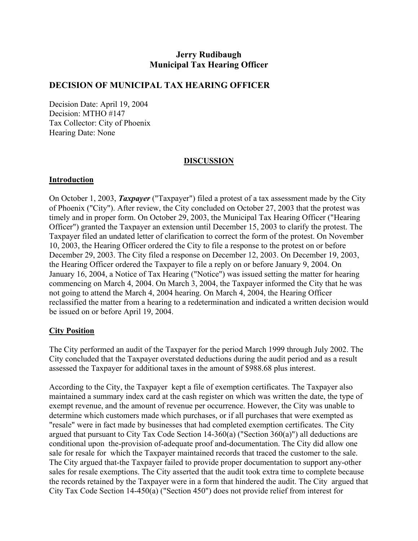# **Jerry Rudibaugh Municipal Tax Hearing Officer**

### **DECISION OF MUNICIPAL TAX HEARING OFFICER**

Decision Date: April 19, 2004 Decision: MTHO #147 Tax Collector: City of Phoenix Hearing Date: None

### **DISCUSSION**

#### **Introduction**

On October 1, 2003, *Taxpayer* ("Taxpayer") filed a protest of a tax assessment made by the City of Phoenix ("City"). After review, the City concluded on October 27, 2003 that the protest was timely and in proper form. On October 29, 2003, the Municipal Tax Hearing Officer ("Hearing Officer") granted the Taxpayer an extension until December 15, 2003 to clarify the protest. The Taxpayer filed an undated letter of clarification to correct the form of the protest. On November 10, 2003, the Hearing Officer ordered the City to file a response to the protest on or before December 29, 2003. The City filed a response on December 12, 2003. On December 19, 2003, the Hearing Officer ordered the Taxpayer to file a reply on or before January 9, 2004. On January 16, 2004, a Notice of Tax Hearing ("Notice") was issued setting the matter for hearing commencing on March 4, 2004. On March 3, 2004, the Taxpayer informed the City that he was not going to attend the March 4, 2004 hearing. On March 4, 2004, the Hearing Officer reclassified the matter from a hearing to a redetermination and indicated a written decision would be issued on or before April 19, 2004.

#### **City Position**

The City performed an audit of the Taxpayer for the period March 1999 through July 2002. The City concluded that the Taxpayer overstated deductions during the audit period and as a result assessed the Taxpayer for additional taxes in the amount of \$988.68 plus interest.

According to the City, the Taxpayer kept a file of exemption certificates. The Taxpayer also maintained a summary index card at the cash register on which was written the date, the type of exempt revenue, and the amount of revenue per occurrence. However, the City was unable to determine which customers made which purchases, or if all purchases that were exempted as "resale" were in fact made by businesses that had completed exemption certificates. The City argued that pursuant to City Tax Code Section 14-360(a) ("Section 360(a)") all deductions are conditional upon the-provision of-adequate proof and-documentation. The City did allow one sale for resale for which the Taxpayer maintained records that traced the customer to the sale. The City argued that-the Taxpayer failed to provide proper documentation to support any-other sales for resale exemptions. The City asserted that the audit took extra time to complete because the records retained by the Taxpayer were in a form that hindered the audit. The City argued that City Tax Code Section 14-450(a) ("Section 450") does not provide relief from interest for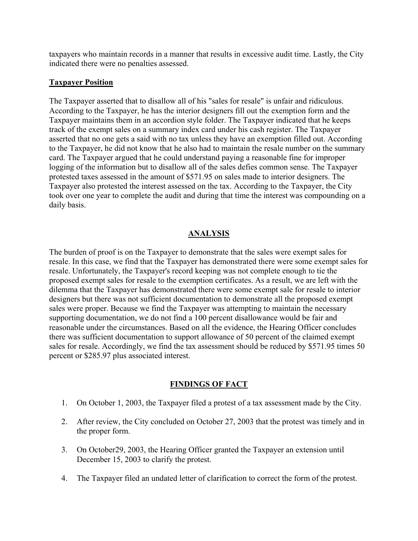taxpayers who maintain records in a manner that results in excessive audit time. Lastly, the City indicated there were no penalties assessed.

### **Taxpayer Position**

The Taxpayer asserted that to disallow all of his "sales for resale" is unfair and ridiculous. According to the Taxpayer, he has the interior designers fill out the exemption form and the Taxpayer maintains them in an accordion style folder. The Taxpayer indicated that he keeps track of the exempt sales on a summary index card under his cash register. The Taxpayer asserted that no one gets a said with no tax unless they have an exemption filled out. According to the Taxpayer, he did not know that he also had to maintain the resale number on the summary card. The Taxpayer argued that he could understand paying a reasonable fine for improper logging of the information but to disallow all of the sales defies common sense. The Taxpayer protested taxes assessed in the amount of \$571.95 on sales made to interior designers. The Taxpayer also protested the interest assessed on the tax. According to the Taxpayer, the City took over one year to complete the audit and during that time the interest was compounding on a daily basis.

### **ANALYSIS**

The burden of proof is on the Taxpayer to demonstrate that the sales were exempt sales for resale. In this case, we find that the Taxpayer has demonstrated there were some exempt sales for resale. Unfortunately, the Taxpayer's record keeping was not complete enough to tie the proposed exempt sales for resale to the exemption certificates. As a result, we are left with the dilemma that the Taxpayer has demonstrated there were some exempt sale for resale to interior designers but there was not sufficient documentation to demonstrate all the proposed exempt sales were proper. Because we find the Taxpayer was attempting to maintain the necessary supporting documentation, we do not find a 100 percent disallowance would be fair and reasonable under the circumstances. Based on all the evidence, the Hearing Officer concludes there was sufficient documentation to support allowance of 50 percent of the claimed exempt sales for resale. Accordingly, we find the tax assessment should be reduced by \$571.95 times 50 percent or \$285.97 plus associated interest.

#### **FINDINGS OF FACT**

- 1. On October 1, 2003, the Taxpayer filed a protest of a tax assessment made by the City.
- 2. After review, the City concluded on October 27, 2003 that the protest was timely and in the proper form.
- 3. On October29, 2003, the Hearing Officer granted the Taxpayer an extension until December 15, 2003 to clarify the protest.
- 4. The Taxpayer filed an undated letter of clarification to correct the form of the protest.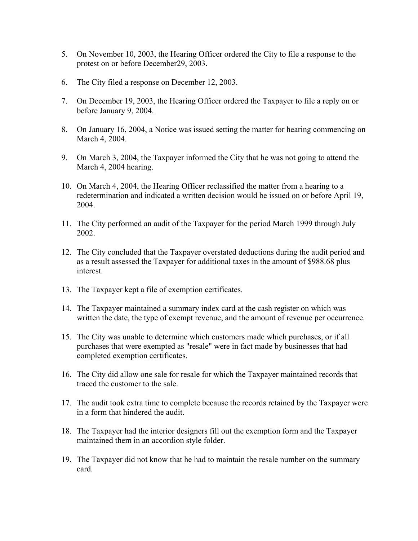- 5. On November 10, 2003, the Hearing Officer ordered the City to file a response to the protest on or before December29, 2003.
- 6. The City filed a response on December 12, 2003.
- 7. On December 19, 2003, the Hearing Officer ordered the Taxpayer to file a reply on or before January 9, 2004.
- 8. On January 16, 2004, a Notice was issued setting the matter for hearing commencing on March 4, 2004.
- 9. On March 3, 2004, the Taxpayer informed the City that he was not going to attend the March 4, 2004 hearing.
- 10. On March 4, 2004, the Hearing Officer reclassified the matter from a hearing to a redetermination and indicated a written decision would be issued on or before April 19, 2004.
- 11. The City performed an audit of the Taxpayer for the period March 1999 through July 2002.
- 12. The City concluded that the Taxpayer overstated deductions during the audit period and as a result assessed the Taxpayer for additional taxes in the amount of \$988.68 plus interest.
- 13. The Taxpayer kept a file of exemption certificates.
- 14. The Taxpayer maintained a summary index card at the cash register on which was written the date, the type of exempt revenue, and the amount of revenue per occurrence.
- 15. The City was unable to determine which customers made which purchases, or if all purchases that were exempted as "resale" were in fact made by businesses that had completed exemption certificates.
- 16. The City did allow one sale for resale for which the Taxpayer maintained records that traced the customer to the sale.
- 17. The audit took extra time to complete because the records retained by the Taxpayer were in a form that hindered the audit.
- 18. The Taxpayer had the interior designers fill out the exemption form and the Taxpayer maintained them in an accordion style folder.
- 19. The Taxpayer did not know that he had to maintain the resale number on the summary card.